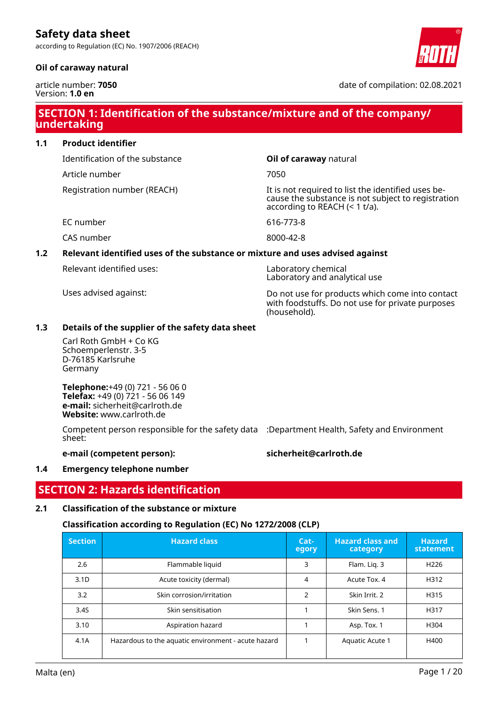according to Regulation (EC) No. 1907/2006 (REACH)

### **Oil of caraway natural**



date of compilation: 02.08.2021

# **SECTION 1: Identification of the substance/mixture and of the company/ undertaking**

### **1.1 Product identifier**

Identification of the substance **Oil of caraway** natural

Article number 7050

Registration number (REACH) The state of the identified uses because the substance is not subject to registration according to REACH (< 1 t/a).

EC number 616-773-8

CAS number 8000-42-8

# **1.2 Relevant identified uses of the substance or mixture and uses advised against**

Relevant identified uses: Laboratory chemical

Laboratory and analytical use

Uses advised against: Do not use for products which come into contact with foodstuffs. Do not use for private purposes (household).

### **1.3 Details of the supplier of the safety data sheet**

Carl Roth GmbH + Co KG Schoemperlenstr. 3-5 D-76185 Karlsruhe Germany

**Telephone:**+49 (0) 721 - 56 06 0 **Telefax:** +49 (0) 721 - 56 06 149 **e-mail:** sicherheit@carlroth.de **Website:** www.carlroth.de

Competent person responsible for the safety data :Department Health, Safety and Environment sheet:

#### **e-mail (competent person): sicherheit@carlroth.de**

### **1.4 Emergency telephone number**

# **SECTION 2: Hazards identification**

### **2.1 Classification of the substance or mixture**

### **Classification according to Regulation (EC) No 1272/2008 (CLP)**

| <b>Section</b>   | <b>Hazard class</b>                                 | Cat-<br>egory  | <b>Hazard class and</b><br>category | <b>Hazard</b><br>statement |
|------------------|-----------------------------------------------------|----------------|-------------------------------------|----------------------------|
| 2.6              | Flammable liquid                                    | 3              | Flam. Lig. 3                        | H <sub>226</sub>           |
| 3.1 <sub>D</sub> | Acute toxicity (dermal)                             | 4              | Acute Tox. 4                        | H312                       |
| 3.2              | Skin corrosion/irritation                           | $\overline{2}$ | Skin Irrit, 2                       | H315                       |
| 3.4S             | Skin sensitisation                                  |                | Skin Sens. 1                        | H317                       |
| 3.10             | Aspiration hazard                                   |                | Asp. Tox. 1                         | H304                       |
| 4.1A             | Hazardous to the aquatic environment - acute hazard |                | Aquatic Acute 1                     | H400                       |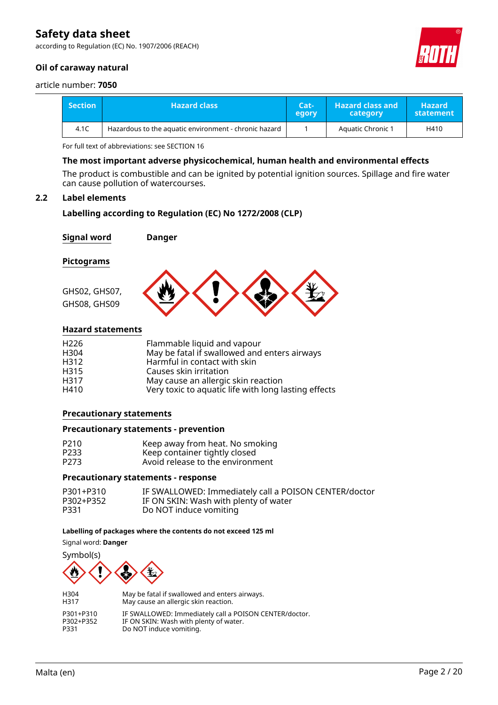according to Regulation (EC) No. 1907/2006 (REACH)

### **Oil of caraway natural**



#### article number: **7050**

| <b>Section</b> | <b>Hazard class</b>                                   | Cat-'<br>egory | <b>Hazard class and</b><br>category | <b>Hazard</b><br>statement |
|----------------|-------------------------------------------------------|----------------|-------------------------------------|----------------------------|
| 4.1C           | Hazardous to the aquatic environment - chronic hazard |                | Aquatic Chronic 1                   | H410                       |

For full text of abbreviations: see SECTION 16

#### **The most important adverse physicochemical, human health and environmental effects**

The product is combustible and can be ignited by potential ignition sources. Spillage and fire water can cause pollution of watercourses.

#### **2.2 Label elements**

### **Labelling according to Regulation (EC) No 1272/2008 (CLP)**

| <b>Signal word</b>                       | Danger                                                                                                                                |
|------------------------------------------|---------------------------------------------------------------------------------------------------------------------------------------|
| Pictograms                               |                                                                                                                                       |
| GHS02, GHS07,<br>GHS08, GHS09            |                                                                                                                                       |
| <b>Hazard statements</b>                 |                                                                                                                                       |
| H <sub>226</sub><br>H304<br>H312<br>H315 | Flammable liquid and vapour<br>May be fatal if swallowed and enters airways<br>Harmful in contact with skin<br>Causes skin irritation |

H317 May cause an allergic skin reaction

H410 Very toxic to aquatic life with long lasting effects

#### **Precautionary statements**

#### **Precautionary statements - prevention**

| P210 | Keep away from heat. No smoking  |
|------|----------------------------------|
| P233 | Keep container tightly closed    |
| P273 | Avoid release to the environment |

#### **Precautionary statements - response**

| P301+P310 | IF SWALLOWED: Immediately call a POISON CENTER/doctor |
|-----------|-------------------------------------------------------|
| P302+P352 | IF ON SKIN: Wash with plenty of water                 |
| P331      | Do NOT induce vomiting                                |

#### **Labelling of packages where the contents do not exceed 125 ml**

Signal word: **Danger**



| H304      | May be fatal if swallowed and enters airways.          |
|-----------|--------------------------------------------------------|
| H317      | May cause an allergic skin reaction.                   |
| P301+P310 | IF SWALLOWED: Immediately call a POISON CENTER/doctor. |
| P302+P352 | IF ON SKIN: Wash with plenty of water.                 |
| P331      | Do NOT induce vomiting.                                |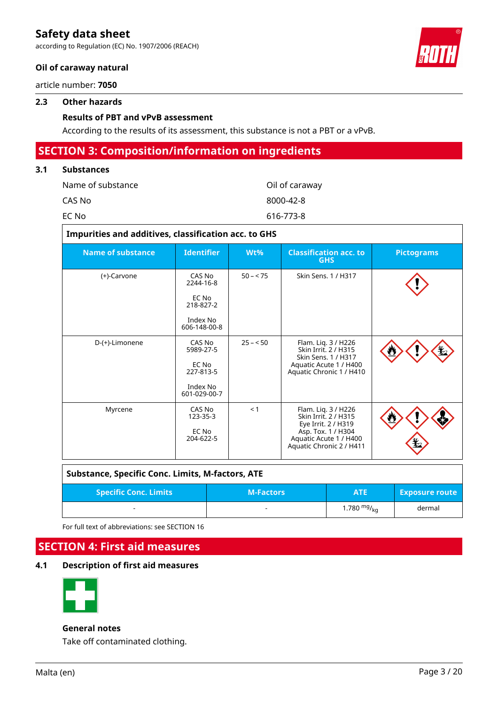according to Regulation (EC) No. 1907/2006 (REACH)

### **Oil of caraway natural**

article number: **7050**

#### **2.3 Other hazards**

### **Results of PBT and vPvB assessment**

According to the results of its assessment, this substance is not a PBT or a vPvB.

### **SECTION 3: Composition/information on ingredients**

### **3.1 Substances**

| Name of substance | Oil of caraway |
|-------------------|----------------|
| CAS No            | 8000-42-8      |
| EC No             | 616-773-8      |

| Impurities and additives, classification acc. to GHS |                                                                       |           |                                                                                                                                                |                   |  |  |  |  |  |
|------------------------------------------------------|-----------------------------------------------------------------------|-----------|------------------------------------------------------------------------------------------------------------------------------------------------|-------------------|--|--|--|--|--|
| <b>Name of substance</b>                             | <b>Identifier</b>                                                     | Wt%       | <b>Classification acc. to</b><br><b>GHS</b>                                                                                                    | <b>Pictograms</b> |  |  |  |  |  |
| (+)-Carvone                                          | CAS No<br>2244-16-8<br>EC No<br>218-827-2<br>Index No<br>606-148-00-8 | $50 - 75$ | Skin Sens. 1 / H317                                                                                                                            |                   |  |  |  |  |  |
| D-(+)-Limonene                                       | CAS No<br>5989-27-5<br>EC No<br>227-813-5<br>Index No<br>601-029-00-7 | $25 - 50$ | Flam. Liq. 3 / H226<br>Skin Irrit. 2 / H315<br>Skin Sens. 1 / H317<br>Aquatic Acute 1 / H400<br>Aquatic Chronic 1 / H410                       |                   |  |  |  |  |  |
| Myrcene                                              | CAS No<br>123-35-3<br>EC No<br>204-622-5                              | < 1       | Flam. Liq. 3 / H226<br>Skin Irrit. 2 / H315<br>Eye Irrit. 2 / H319<br>Asp. Tox. 1 / H304<br>Aquatic Acute 1 / H400<br>Aquatic Chronic 2 / H411 |                   |  |  |  |  |  |

| <b>Substance, Specific Conc. Limits, M-factors, ATE</b> |                  |                  |                       |  |  |  |  |
|---------------------------------------------------------|------------------|------------------|-----------------------|--|--|--|--|
| <b>Specific Conc. Limits</b>                            | <b>M-Factors</b> | <b>ATE</b>       | <b>Exposure route</b> |  |  |  |  |
|                                                         | -                | 1.780 $mg/_{kq}$ | dermal                |  |  |  |  |

For full text of abbreviations: see SECTION 16

# **SECTION 4: First aid measures**

### **4.1 Description of first aid measures**



#### **General notes**

Take off contaminated clothing.

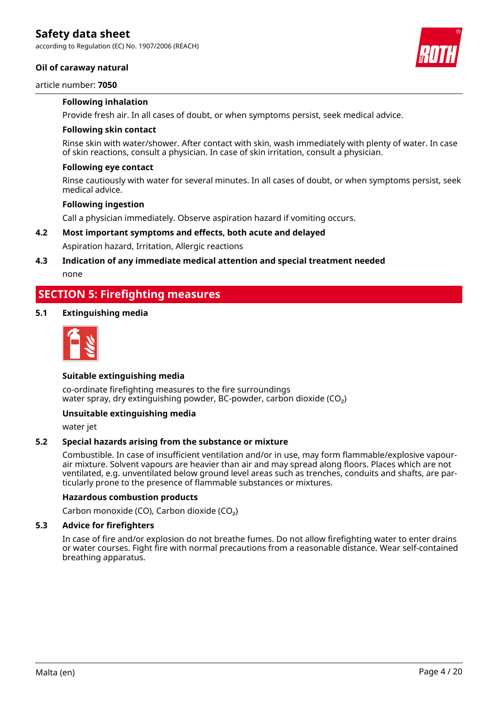according to Regulation (EC) No. 1907/2006 (REACH)

#### **Oil of caraway natural**

#### article number: **7050**

#### **Following inhalation**

Provide fresh air. In all cases of doubt, or when symptoms persist, seek medical advice.

#### **Following skin contact**

Rinse skin with water/shower. After contact with skin, wash immediately with plenty of water. In case of skin reactions, consult a physician. In case of skin irritation, consult a physician.

#### **Following eye contact**

Rinse cautiously with water for several minutes. In all cases of doubt, or when symptoms persist, seek medical advice.

#### **Following ingestion**

Call a physician immediately. Observe aspiration hazard if vomiting occurs.

### **4.2 Most important symptoms and effects, both acute and delayed**

Aspiration hazard, Irritation, Allergic reactions

### **4.3 Indication of any immediate medical attention and special treatment needed**

none

### **SECTION 5: Firefighting measures**

#### **5.1 Extinguishing media**



#### **Suitable extinguishing media**

co-ordinate firefighting measures to the fire surroundings water spray, dry extinguishing powder, BC-powder, carbon dioxide (CO<sub>2</sub>)

#### **Unsuitable extinguishing media**

water jet

#### **5.2 Special hazards arising from the substance or mixture**

Combustible. In case of insufficient ventilation and/or in use, may form flammable/explosive vapourair mixture. Solvent vapours are heavier than air and may spread along floors. Places which are not ventilated, e.g. unventilated below ground level areas such as trenches, conduits and shafts, are particularly prone to the presence of flammable substances or mixtures.

#### **Hazardous combustion products**

Carbon monoxide (CO), Carbon dioxide (CO₂)

#### **5.3 Advice for firefighters**

In case of fire and/or explosion do not breathe fumes. Do not allow firefighting water to enter drains or water courses. Fight fire with normal precautions from a reasonable distance. Wear self-contained breathing apparatus.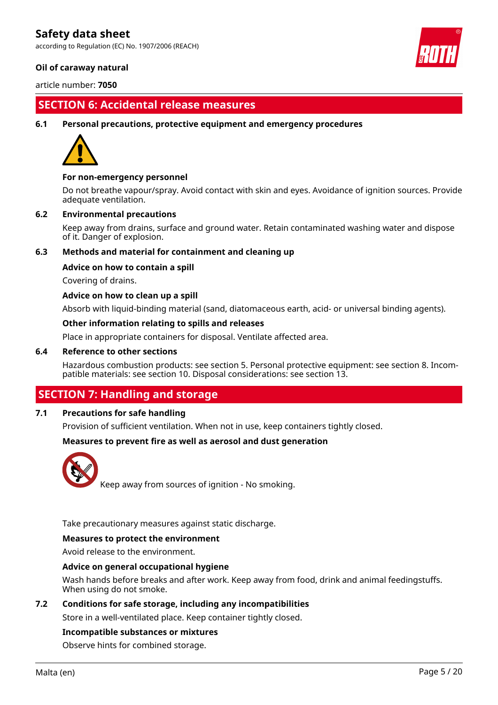according to Regulation (EC) No. 1907/2006 (REACH)

### **Oil of caraway natural**

article number: **7050**

# **SECTION 6: Accidental release measures**

#### **6.1 Personal precautions, protective equipment and emergency procedures**



#### **For non-emergency personnel**

Do not breathe vapour/spray. Avoid contact with skin and eyes. Avoidance of ignition sources. Provide adequate ventilation.

#### **6.2 Environmental precautions**

Keep away from drains, surface and ground water. Retain contaminated washing water and dispose of it. Danger of explosion.

### **6.3 Methods and material for containment and cleaning up**

#### **Advice on how to contain a spill**

Covering of drains.

#### **Advice on how to clean up a spill**

Absorb with liquid-binding material (sand, diatomaceous earth, acid- or universal binding agents).

#### **Other information relating to spills and releases**

Place in appropriate containers for disposal. Ventilate affected area.

#### **6.4 Reference to other sections**

Hazardous combustion products: see section 5. Personal protective equipment: see section 8. Incompatible materials: see section 10. Disposal considerations: see section 13.

### **SECTION 7: Handling and storage**

### **7.1 Precautions for safe handling**

Provision of sufficient ventilation. When not in use, keep containers tightly closed.

#### **Measures to prevent fire as well as aerosol and dust generation**



Keep away from sources of ignition - No smoking.

Take precautionary measures against static discharge.

#### **Measures to protect the environment**

Avoid release to the environment.

#### **Advice on general occupational hygiene**

Wash hands before breaks and after work. Keep away from food, drink and animal feedingstuffs. When using do not smoke.

#### **7.2 Conditions for safe storage, including any incompatibilities**

Store in a well-ventilated place. Keep container tightly closed.

#### **Incompatible substances or mixtures**

Observe hints for combined storage.

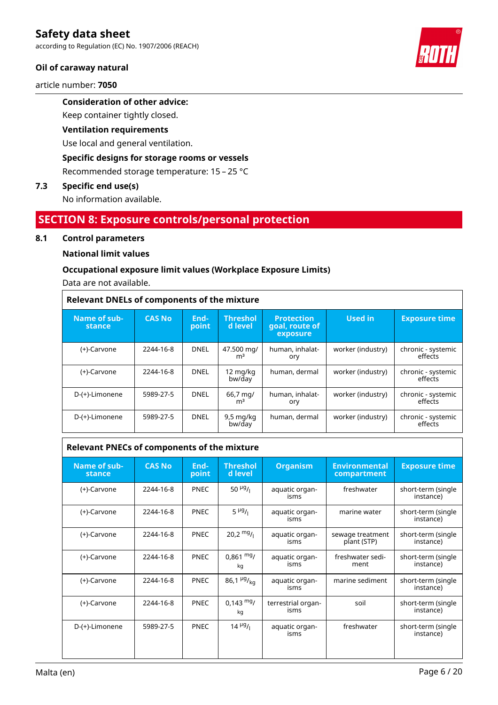according to Regulation (EC) No. 1907/2006 (REACH)

### **Oil of caraway natural**

article number: **7050**

### **Consideration of other advice:**

Keep container tightly closed.

#### **Ventilation requirements**

Use local and general ventilation.

### **Specific designs for storage rooms or vessels**

Recommended storage temperature: 15 – 25 °C

#### **7.3 Specific end use(s)**

No information available.

### **SECTION 8: Exposure controls/personal protection**

#### **8.1 Control parameters**

#### **National limit values**

#### **Occupational exposure limit values (Workplace Exposure Limits)**

Data are not available.

| <b>Relevant DNELs of components of the mixture</b> |               |               |                               |                                                 |                   |                               |  |
|----------------------------------------------------|---------------|---------------|-------------------------------|-------------------------------------------------|-------------------|-------------------------------|--|
| Name of sub-<br>stance                             | <b>CAS No</b> | End-<br>point | <b>Threshol</b><br>d level    | <b>Protection</b><br>goal, route of<br>exposure | <b>Used in</b>    | <b>Exposure time</b>          |  |
| (+)-Carvone                                        | 2244-16-8     | <b>DNEL</b>   | 47.500 mg/<br>m <sup>3</sup>  | human, inhalat-<br>ory                          | worker (industry) | chronic - systemic<br>effects |  |
| (+)-Carvone                                        | 2244-16-8     | DNEL          | 12 mg/kg<br>bw/day            | human, dermal                                   | worker (industry) | chronic - systemic<br>effects |  |
| D-(+)-Limonene                                     | 5989-27-5     | <b>DNEL</b>   | 66,7 mg/<br>m <sup>3</sup>    | human, inhalat-<br>ory                          | worker (industry) | chronic - systemic<br>effects |  |
| D-(+)-Limonene                                     | 5989-27-5     | <b>DNEL</b>   | $9,5 \text{ mg/kg}$<br>bw/day | human, dermal                                   | worker (industry) | chronic - systemic<br>effects |  |

### **Relevant PNECs of components of the mixture**

| Name of sub-<br>stance | <b>CAS No</b> | End-<br>point | <b>Threshol</b><br>d level    | <b>Organism</b>            | <b>Environmental</b><br>compartment | <b>Exposure time</b>            |
|------------------------|---------------|---------------|-------------------------------|----------------------------|-------------------------------------|---------------------------------|
| (+)-Carvone            | 2244-16-8     | <b>PNEC</b>   | 50 $\mu$ g/ <sub>1</sub>      | aquatic organ-<br>isms     | freshwater                          | short-term (single<br>instance) |
| (+)-Carvone            | 2244-16-8     | <b>PNEC</b>   | $5 \mu g_{1}$                 | aquatic organ-<br>isms     | marine water                        | short-term (single<br>instance) |
| (+)-Carvone            | 2244-16-8     | <b>PNEC</b>   | $20.2 \frac{mg}{L}$           | aquatic organ-<br>isms     | sewage treatment<br>plant (STP)     | short-term (single<br>instance) |
| (+)-Carvone            | 2244-16-8     | <b>PNEC</b>   | $0.861$ mg/<br>kq             | aquatic organ-<br>isms     | freshwater sedi-<br>ment            | short-term (single<br>instance) |
| (+)-Carvone            | 2244-16-8     | <b>PNEC</b>   | $86,1 \frac{\mu g}{\kappa q}$ | aquatic organ-<br>isms     | marine sediment                     | short-term (single<br>instance) |
| (+)-Carvone            | 2244-16-8     | <b>PNEC</b>   | $0,143 \text{ mg}$<br>kq      | terrestrial organ-<br>isms | soil                                | short-term (single<br>instance) |
| D-(+)-Limonene         | 5989-27-5     | <b>PNEC</b>   | $14 \frac{\mu g}{\mu}$        | aquatic organ-<br>isms     | freshwater                          | short-term (single<br>instance) |

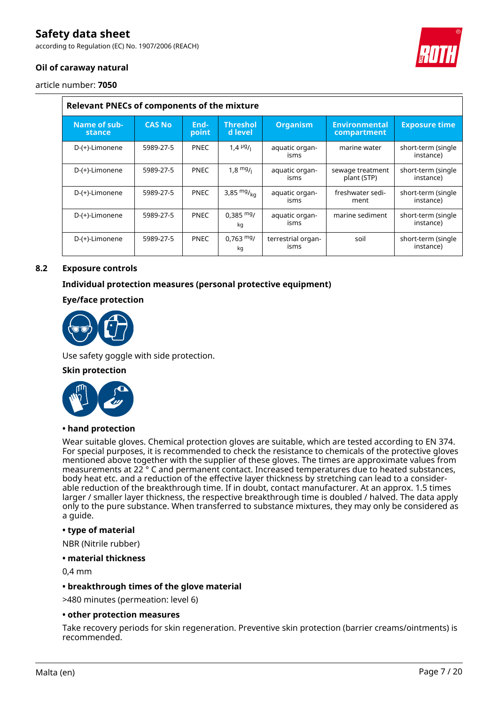according to Regulation (EC) No. 1907/2006 (REACH)



### **Oil of caraway natural**

article number: **7050**

| Relevant PNECs of components of the mixture |               |               |                             |                            |                                     |                                 |  |  |
|---------------------------------------------|---------------|---------------|-----------------------------|----------------------------|-------------------------------------|---------------------------------|--|--|
| Name of sub-<br>stance                      | <b>CAS No</b> | End-<br>point | <b>Threshol</b><br>d level. | <b>Organism</b>            | <b>Environmental</b><br>compartment | <b>Exposure time</b>            |  |  |
| D-(+)-Limonene                              | 5989-27-5     | <b>PNEC</b>   | 1,4 $^{19}$ / $_{1}$        | aquatic organ-<br>isms     | marine water                        | short-term (single<br>instance) |  |  |
| D-(+)-Limonene                              | 5989-27-5     | <b>PNEC</b>   | $1.8 \frac{mg}{l}$          | aquatic organ-<br>isms     | sewage treatment<br>plant (STP)     | short-term (single<br>instance) |  |  |
| D-(+)-Limonene                              | 5989-27-5     | <b>PNEC</b>   | 3,85 $mg/kq$                | aquatic organ-<br>isms     | freshwater sedi-<br>ment            | short-term (single<br>instance) |  |  |
| D-(+)-Limonene                              | 5989-27-5     | <b>PNEC</b>   | $0.385 \text{ mg}$<br>kg    | aquatic organ-<br>isms     | marine sediment                     | short-term (single<br>instance) |  |  |
| D-(+)-Limonene                              | 5989-27-5     | <b>PNEC</b>   | $0,763 \text{ mg}$<br>kg    | terrestrial organ-<br>isms | soil                                | short-term (single<br>instance) |  |  |

### **8.2 Exposure controls**

### **Individual protection measures (personal protective equipment)**

### **Eye/face protection**



Use safety goggle with side protection.

#### **Skin protection**



### **• hand protection**

Wear suitable gloves. Chemical protection gloves are suitable, which are tested according to EN 374. For special purposes, it is recommended to check the resistance to chemicals of the protective gloves mentioned above together with the supplier of these gloves. The times are approximate values from measurements at 22 ° C and permanent contact. Increased temperatures due to heated substances, body heat etc. and a reduction of the effective layer thickness by stretching can lead to a considerable reduction of the breakthrough time. If in doubt, contact manufacturer. At an approx. 1.5 times larger / smaller layer thickness, the respective breakthrough time is doubled / halved. The data apply only to the pure substance. When transferred to substance mixtures, they may only be considered as a guide.

#### **• type of material**

NBR (Nitrile rubber)

#### **• material thickness**

0,4 mm

#### **• breakthrough times of the glove material**

>480 minutes (permeation: level 6)

#### **• other protection measures**

Take recovery periods for skin regeneration. Preventive skin protection (barrier creams/ointments) is recommended.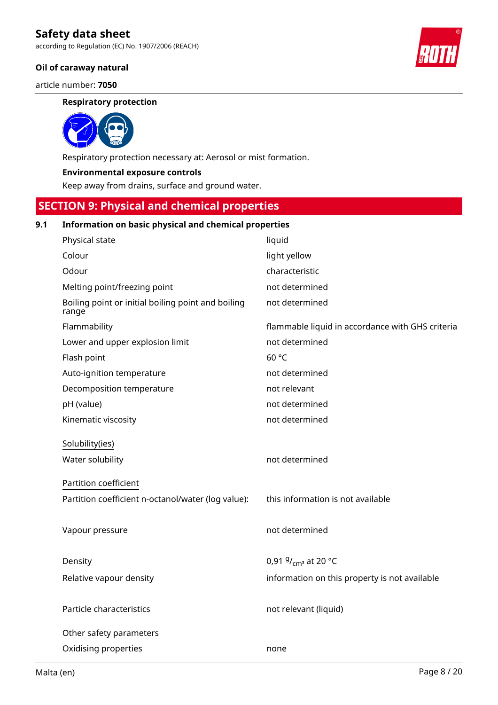according to Regulation (EC) No. 1907/2006 (REACH)

### **Oil of caraway natural**

article number: **7050**

#### **Respiratory protection**



Respiratory protection necessary at: Aerosol or mist formation.

#### **Environmental exposure controls**

Keep away from drains, surface and ground water.

### **SECTION 9: Physical and chemical properties**

### **9.1 Information on basic physical and chemical properties**

| Physical state                                              | liquid                                           |
|-------------------------------------------------------------|--------------------------------------------------|
| Colour                                                      | light yellow                                     |
| Odour                                                       | characteristic                                   |
| Melting point/freezing point                                | not determined                                   |
| Boiling point or initial boiling point and boiling<br>range | not determined                                   |
| Flammability                                                | flammable liquid in accordance with GHS criteria |
| Lower and upper explosion limit                             | not determined                                   |
| Flash point                                                 | 60 °C                                            |
| Auto-ignition temperature                                   | not determined                                   |
| Decomposition temperature                                   | not relevant                                     |
| pH (value)                                                  | not determined                                   |
| Kinematic viscosity                                         | not determined                                   |
| Solubility(ies)                                             |                                                  |
| Water solubility                                            | not determined                                   |
| Partition coefficient                                       |                                                  |
| Partition coefficient n-octanol/water (log value):          | this information is not available                |
|                                                             |                                                  |
| Vapour pressure                                             | not determined                                   |
|                                                             |                                                  |
| Density                                                     | 0,91 $9/_{cm^3}$ at 20 °C                        |
| Relative vapour density                                     | information on this property is not available    |
|                                                             |                                                  |
| Particle characteristics                                    | not relevant (liquid)                            |
| Other safety parameters                                     |                                                  |
| Oxidising properties                                        | none                                             |
|                                                             |                                                  |

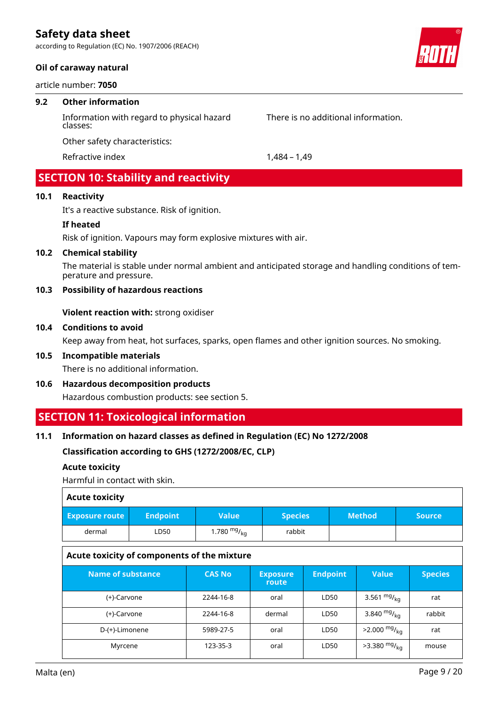according to Regulation (EC) No. 1907/2006 (REACH)

#### **Oil of caraway natural**

article number: **7050**

#### **9.2 Other information**

Information with regard to physical hazard classes:

There is no additional information.

Other safety characteristics:

Refractive index 1,484 – 1,49

# **SECTION 10: Stability and reactivity**

### **10.1 Reactivity**

It's a reactive substance. Risk of ignition.

#### **If heated**

Risk of ignition. Vapours may form explosive mixtures with air.

#### **10.2 Chemical stability**

The material is stable under normal ambient and anticipated storage and handling conditions of temperature and pressure.

### **10.3 Possibility of hazardous reactions**

**Violent reaction with:** strong oxidiser

#### **10.4 Conditions to avoid**

Keep away from heat, hot surfaces, sparks, open flames and other ignition sources. No smoking.

### **10.5 Incompatible materials**

There is no additional information.

**10.6 Hazardous decomposition products**

Hazardous combustion products: see section 5.

### **SECTION 11: Toxicological information**

#### **11.1 Information on hazard classes as defined in Regulation (EC) No 1272/2008**

**Classification according to GHS (1272/2008/EC, CLP)**

#### **Acute toxicity**

Harmful in contact with skin.

| <b>Acute toxicity</b> |                 |               |                |               |               |
|-----------------------|-----------------|---------------|----------------|---------------|---------------|
| <b>Exposure route</b> | <b>Endpoint</b> | <b>Value</b>  | <b>Species</b> | <b>Method</b> | <b>Source</b> |
| dermal                | LD50            | 1.780 $mg/kg$ | rabbit         |               |               |
|                       |                 |               |                |               |               |

### **Acute toxicity of components of the mixture**

| Name of substance | <b>CAS No</b> | 'Exposure'<br>route | <b>Endpoint</b> | <b>Value</b>               | <b>Species</b> |
|-------------------|---------------|---------------------|-----------------|----------------------------|----------------|
| (+)-Carvone       | 2244-16-8     | oral                | LD50            | 3.561 $mg/_{ka}$           | rat            |
| (+)-Carvone       | 2244-16-8     | dermal              | LD50            | 3.840 $mg/_{ka}$           | rabbit         |
| D-(+)-Limonene    | 5989-27-5     | oral                | LD50            | $>2.000$ mg/ <sub>kg</sub> | rat            |
| Myrcene           | 123-35-3      | oral                | LD50            | $>3.380$ mg/ <sub>kg</sub> | mouse          |

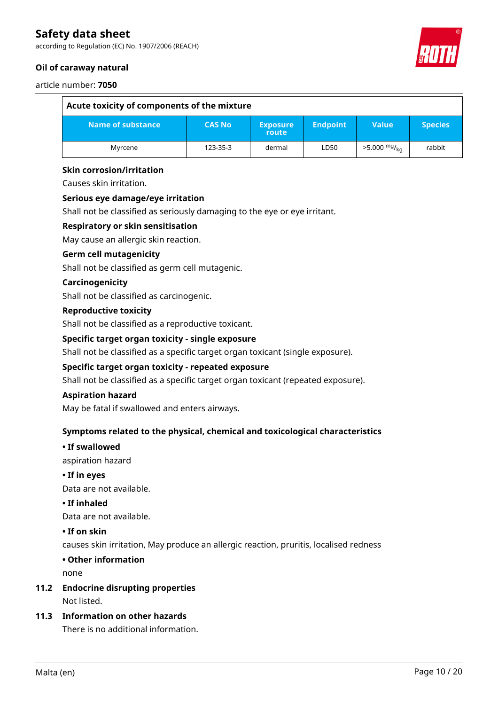according to Regulation (EC) No. 1907/2006 (REACH)

### **Oil of caraway natural**



#### article number: **7050**

| Acute toxicity of components of the mixture |               |                          |                 |                            |                |
|---------------------------------------------|---------------|--------------------------|-----------------|----------------------------|----------------|
| Name of substance                           | <b>CAS No</b> | <b>Exposure</b><br>route | <b>Endpoint</b> | Value                      | <b>Species</b> |
| Myrcene                                     | 123-35-3      | dermal                   | LD50            | $>5.000$ mg/ <sub>ka</sub> | rabbit         |

#### **Skin corrosion/irritation**

Causes skin irritation.

#### **Serious eye damage/eye irritation**

Shall not be classified as seriously damaging to the eye or eye irritant.

#### **Respiratory or skin sensitisation**

May cause an allergic skin reaction.

#### **Germ cell mutagenicity**

Shall not be classified as germ cell mutagenic.

#### **Carcinogenicity**

Shall not be classified as carcinogenic.

#### **Reproductive toxicity**

Shall not be classified as a reproductive toxicant.

#### **Specific target organ toxicity - single exposure**

Shall not be classified as a specific target organ toxicant (single exposure).

#### **Specific target organ toxicity - repeated exposure**

Shall not be classified as a specific target organ toxicant (repeated exposure).

#### **Aspiration hazard**

May be fatal if swallowed and enters airways.

#### **Symptoms related to the physical, chemical and toxicological characteristics**

#### **• If swallowed**

aspiration hazard

**• If in eyes**

Data are not available.

#### **• If inhaled**

Data are not available.

#### **• If on skin**

causes skin irritation, May produce an allergic reaction, pruritis, localised redness

#### **• Other information**

none

# **11.2 Endocrine disrupting properties**

Not listed.

### **11.3 Information on other hazards**

There is no additional information.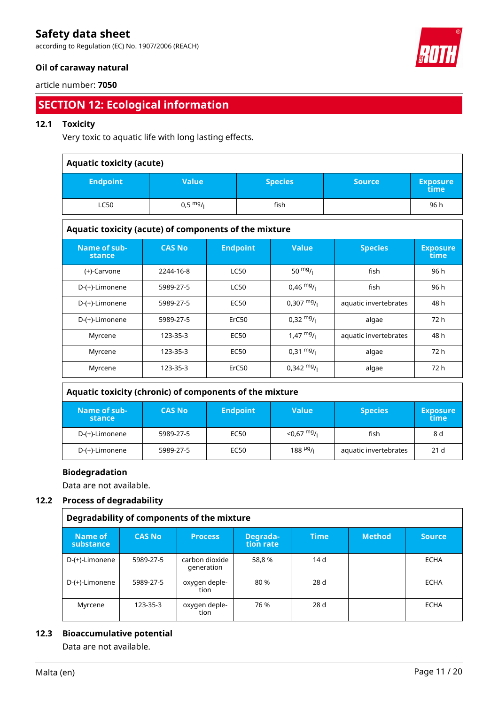according to Regulation (EC) No. 1907/2006 (REACH)

### **Oil of caraway natural**

#### article number: **7050**

# **SECTION 12: Ecological information**

### **12.1 Toxicity**

Very toxic to aquatic life with long lasting effects.

| <b>Aquatic toxicity (acute)</b> |                    |                |               |                         |
|---------------------------------|--------------------|----------------|---------------|-------------------------|
| <b>Endpoint</b>                 | <b>Value</b>       | <b>Species</b> | <b>Source</b> | <b>Exposure</b><br>time |
| <b>LC50</b>                     | $0,5 \frac{mg}{l}$ | fish           |               | 96 h                    |

### **Aquatic toxicity (acute) of components of the mixture**

| Name of sub-<br>stance | <b>CAS No</b> | <b>Endpoint</b> | <b>Value</b>         | <b>Species</b>        | <b>Exposure</b><br>time |
|------------------------|---------------|-----------------|----------------------|-----------------------|-------------------------|
| (+)-Carvone            | 2244-16-8     | <b>LC50</b>     | 50 $mg/1$            | fish                  | 96 h                    |
| D-(+)-Limonene         | 5989-27-5     | <b>LC50</b>     | $0,46 \frac{mg}{l}$  | fish                  | 96 h                    |
| D-(+)-Limonene         | 5989-27-5     | <b>EC50</b>     | $0.307 \frac{mg}{L}$ | aquatic invertebrates | 48 h                    |
| D-(+)-Limonene         | 5989-27-5     | ErC50           | $0,32 \frac{mg}{l}$  | algae                 | 72 h                    |
| Myrcene                | 123-35-3      | <b>EC50</b>     | $1,47 \frac{mg}{l}$  | aquatic invertebrates | 48 h                    |
| Myrcene                | 123-35-3      | <b>EC50</b>     | $0,31 \frac{mg}{l}$  | algae                 | 72 h                    |
| Myrcene                | 123-35-3      | ErC50           | $0.342 \text{ mg}$ / | algae                 | 72 h                    |

#### **Aquatic toxicity (chronic) of components of the mixture**

| Name of sub-<br>stance | <b>CAS No</b> | <b>Endpoint</b> | Value                       | <b>Species</b>        | <b>Exposure</b><br>time |
|------------------------|---------------|-----------------|-----------------------------|-----------------------|-------------------------|
| D-(+)-Limonene         | 5989-27-5     | EC50            | $<$ 0.67 mg/ $_1$           | fish                  | 8 d                     |
| D-(+)-Limonene         | 5989-27-5     | EC50            | $188$ $\frac{\mu g}{\iota}$ | aquatic invertebrates | 21 <sub>d</sub>         |

#### **Biodegradation**

Data are not available.

#### **12.2 Process of degradability**

| Degradability of components of the mixture |               |                              |                       |                 |               |               |
|--------------------------------------------|---------------|------------------------------|-----------------------|-----------------|---------------|---------------|
| Name of<br>substance                       | <b>CAS No</b> | <b>Process</b>               | Degrada-<br>tion rate | <b>Time</b>     | <b>Method</b> | <b>Source</b> |
| D-(+)-Limonene                             | 5989-27-5     | carbon dioxide<br>generation | 58,8 %                | 14d             |               | <b>ECHA</b>   |
| D-(+)-Limonene                             | 5989-27-5     | oxygen deple-<br>tion        | 80 %                  | 28d             |               | <b>ECHA</b>   |
| Myrcene                                    | 123-35-3      | oxygen deple-<br>tion        | 76 %                  | 28 <sub>d</sub> |               | <b>ECHA</b>   |

#### **12.3 Bioaccumulative potential**

Data are not available.

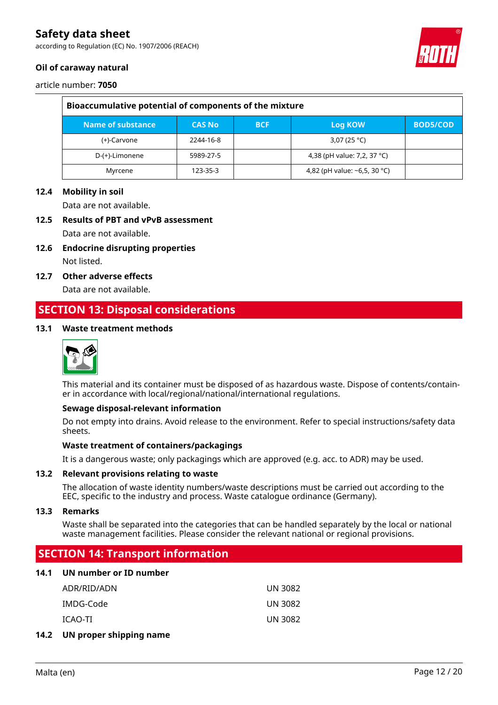according to Regulation (EC) No. 1907/2006 (REACH)

### **Oil of caraway natural**



article number: **7050**

| Bioaccumulative potential of components of the mixture |               |            |                                    |                 |
|--------------------------------------------------------|---------------|------------|------------------------------------|-----------------|
| Name of substance                                      | <b>CAS No</b> | <b>BCF</b> | Log KOW                            | <b>BOD5/COD</b> |
| (+)-Carvone                                            | 2244-16-8     |            | 3,07 (25 °C)                       |                 |
| D-(+)-Limonene                                         | 5989-27-5     |            | 4,38 (pH value: 7,2, 37 °C)        |                 |
| Myrcene                                                | 123-35-3      |            | 4,82 (pH value: $\sim$ 6,5, 30 °C) |                 |

#### **12.4 Mobility in soil**

Data are not available.

### **12.5 Results of PBT and vPvB assessment**

Data are not available.

- **12.6 Endocrine disrupting properties** Not listed.
- **12.7 Other adverse effects**

Data are not available.

## **SECTION 13: Disposal considerations**

#### **13.1 Waste treatment methods**



This material and its container must be disposed of as hazardous waste. Dispose of contents/container in accordance with local/regional/national/international regulations.

#### **Sewage disposal-relevant information**

Do not empty into drains. Avoid release to the environment. Refer to special instructions/safety data sheets.

#### **Waste treatment of containers/packagings**

It is a dangerous waste; only packagings which are approved (e.g. acc. to ADR) may be used.

#### **13.2 Relevant provisions relating to waste**

The allocation of waste identity numbers/waste descriptions must be carried out according to the EEC, specific to the industry and process. Waste catalogue ordinance (Germany).

#### **13.3 Remarks**

Waste shall be separated into the categories that can be handled separately by the local or national waste management facilities. Please consider the relevant national or regional provisions.

### **SECTION 14: Transport information**

#### **14.1 UN number or ID number**

| ADR/RID/ADN | UN 3082 |
|-------------|---------|
| IMDG-Code   | UN 3082 |
| ICAO-TI     | UN 3082 |

#### **14.2 UN proper shipping name**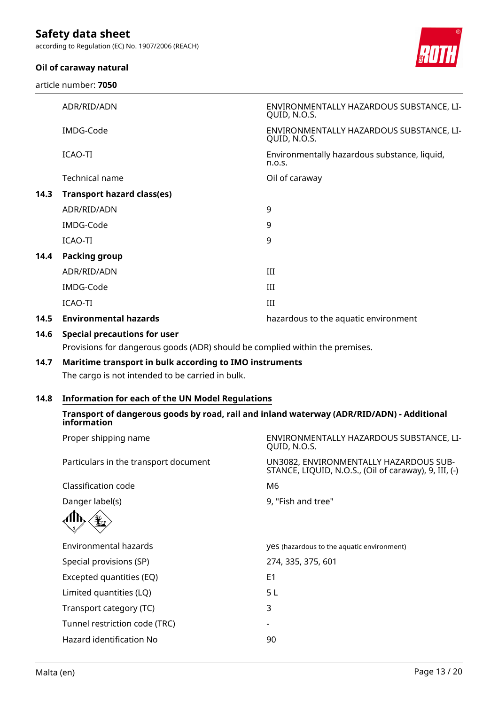according to Regulation (EC) No. 1907/2006 (REACH)

### **Oil of caraway natural**

article number: **7050**



|      | ADR/RID/ADN                       | ENVIRONMENTALLY HAZARDOUS SUBSTANCE, LI-<br>QUID, N.O.S. |
|------|-----------------------------------|----------------------------------------------------------|
|      | IMDG-Code                         | ENVIRONMENTALLY HAZARDOUS SUBSTANCE, LI-<br>QUID, N.O.S. |
|      | ICAO-TI                           | Environmentally hazardous substance, liquid,<br>n.o.s.   |
|      | Technical name                    | Oil of caraway                                           |
| 14.3 | <b>Transport hazard class(es)</b> |                                                          |
|      | ADR/RID/ADN                       | 9                                                        |
|      | IMDG-Code                         | 9                                                        |
|      | ICAO-TI                           | 9                                                        |
| 14.4 | <b>Packing group</b>              |                                                          |
|      | ADR/RID/ADN                       | III                                                      |
|      | IMDG-Code                         | Ш                                                        |
|      | ICAO-TI                           | Ш                                                        |
| 14.5 | <b>Environmental hazards</b>      | hazardous to the aquatic environment                     |
|      |                                   |                                                          |

### **14.6 Special precautions for user**

Provisions for dangerous goods (ADR) should be complied within the premises.

# **14.7 Maritime transport in bulk according to IMO instruments**

The cargo is not intended to be carried in bulk.

### **14.8 Information for each of the UN Model Regulations**

### **Transport of dangerous goods by road, rail and inland waterway (ADR/RID/ADN) - Additional information**

| Proper shipping name                  | ENVIRONMENTALLY HAZARDOUS SUBSTANCE, LI-<br>QUID, N.O.S.                                        |
|---------------------------------------|-------------------------------------------------------------------------------------------------|
| Particulars in the transport document | UN3082, ENVIRONMENTALLY HAZARDOUS SUB-<br>STANCE, LIQUID, N.O.S., (Oil of caraway), 9, III, (-) |
| Classification code                   | M6                                                                                              |
| Danger label(s)                       | 9, "Fish and tree"                                                                              |
|                                       |                                                                                                 |
| Environmental hazards                 | <b>yes</b> (hazardous to the aquatic environment)                                               |
| Special provisions (SP)               | 274, 335, 375, 601                                                                              |
| Excepted quantities (EQ)              | E <sub>1</sub>                                                                                  |
| Limited quantities (LQ)               | 5 L                                                                                             |
| Transport category (TC)               | 3                                                                                               |
| Tunnel restriction code (TRC)         |                                                                                                 |
| Hazard identification No              | 90                                                                                              |
|                                       |                                                                                                 |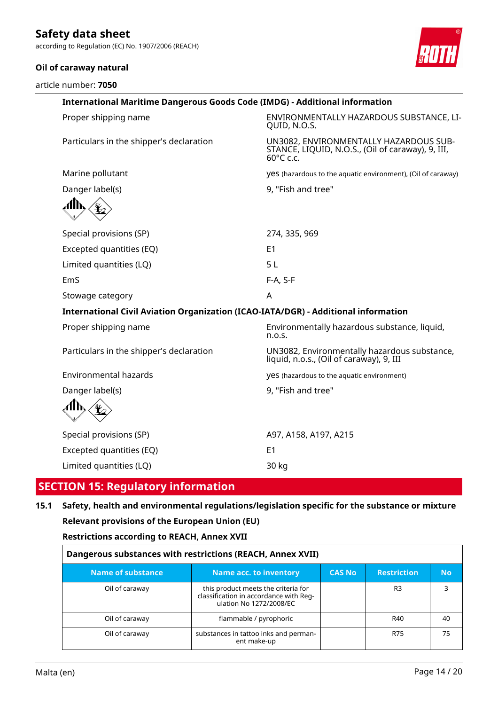according to Regulation (EC) No. 1907/2006 (REACH)

### **Oil of caraway natural**

article number: **7050**



| <b>International Maritime Dangerous Goods Code (IMDG) - Additional information</b> |                                                                                                                    |  |
|------------------------------------------------------------------------------------|--------------------------------------------------------------------------------------------------------------------|--|
| Proper shipping name                                                               | ENVIRONMENTALLY HAZARDOUS SUBSTANCE, LI-<br>QUID, N.O.S.                                                           |  |
| Particulars in the shipper's declaration                                           | UN3082, ENVIRONMENTALLY HAZARDOUS SUB-<br>STANCE, LIQUID, N.O.S., (Oil of caraway), 9, III,<br>$60^{\circ}$ C c.c. |  |
| Marine pollutant                                                                   | yes (hazardous to the aquatic environment), (Oil of caraway)                                                       |  |
| Danger label(s)                                                                    | 9, "Fish and tree"                                                                                                 |  |
|                                                                                    |                                                                                                                    |  |
| Special provisions (SP)                                                            | 274, 335, 969                                                                                                      |  |
| Excepted quantities (EQ)                                                           | E <sub>1</sub>                                                                                                     |  |
| Limited quantities (LQ)                                                            | 5L                                                                                                                 |  |
| EmS                                                                                | F-A, S-F                                                                                                           |  |
| Stowage category                                                                   | A                                                                                                                  |  |
| International Civil Aviation Organization (ICAO-IATA/DGR) - Additional information |                                                                                                                    |  |
| Proper shipping name                                                               | Environmentally hazardous substance, liquid,<br>n.o.s.                                                             |  |
| Particulars in the shipper's declaration                                           | UN3082, Environmentally hazardous substance,<br>liquid, n.o.s., (Oil of caraway), 9, III                           |  |
| <b>Environmental hazards</b>                                                       | yes (hazardous to the aquatic environment)                                                                         |  |
| Danger label(s)                                                                    | 9, "Fish and tree"                                                                                                 |  |
|                                                                                    |                                                                                                                    |  |
| Special provisions (SP)                                                            | A97, A158, A197, A215                                                                                              |  |
| Excepted quantities (EQ)                                                           | E1                                                                                                                 |  |
| Limited quantities (LQ)                                                            | 30 kg                                                                                                              |  |

## **SECTION 15: Regulatory information**

# **15.1 Safety, health and environmental regulations/legislation specific for the substance or mixture Relevant provisions of the European Union (EU)**

**Restrictions according to REACH, Annex XVII**

| Dangerous substances with restrictions (REACH, Annex XVII) |                                                                                                          |               |                    |           |
|------------------------------------------------------------|----------------------------------------------------------------------------------------------------------|---------------|--------------------|-----------|
| <b>Name of substance</b>                                   | Name acc. to inventory                                                                                   | <b>CAS No</b> | <b>Restriction</b> | <b>No</b> |
| Oil of caraway                                             | this product meets the criteria for<br>classification in accordance with Reg-<br>ulation No 1272/2008/EC |               | R <sub>3</sub>     |           |
| Oil of caraway                                             | flammable / pyrophoric                                                                                   |               | R40                | 40        |
| Oil of caraway                                             | substances in tattoo inks and perman-<br>ent make-up                                                     |               | R75                | 75        |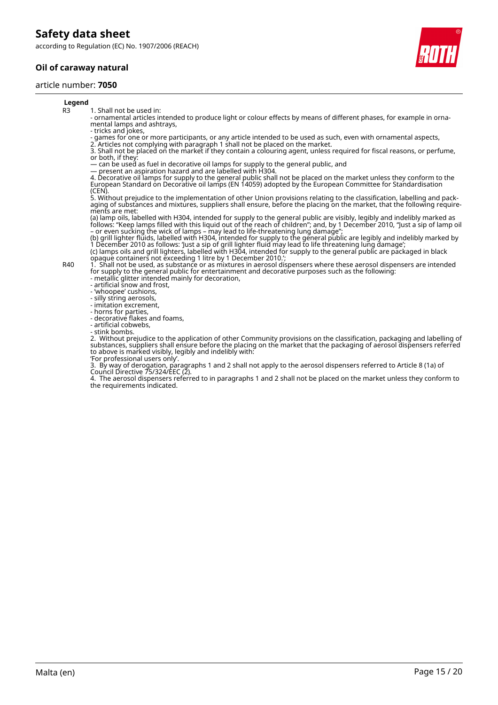according to Regulation (EC) No. 1907/2006 (REACH)

### **Oil of caraway natural**

#### article number: **7050**

#### **Legend**

R3 1. Shall not be used in:

- ornamental articles intended to produce light or colour effects by means of different phases, for example in ornamental lamps and ashtrays,

- tricks and jokes,

- games for one or more participants, or any article intended to be used as such, even with ornamental aspects,

2. Articles not complying with paragraph 1 shall not be placed on the market. 3. Shall not be placed on the market if they contain a colouring agent, unless required for fiscal reasons, or perfume, or both, if they:

— can be used as fuel in decorative oil lamps for supply to the general public, and

— present an aspiration hazard and are labelled with H304.

4. Decorative oil lamps for supply to the general public shall not be placed on the market unless they conform to the European Standard on Decorative oil lamps (EN 14059) adopted by the European Committee for Standardisation (CEN).

5. Without prejudice to the implementation of other Union provisions relating to the classification, labelling and packaging of substances and mixtures, suppliers shall ensure, before the placing on the market, that the following requirements are met:

(a) lamp oils, labelled with H304, intended for supply to the general public are visibly, legibly and indelibly marked as follows: "Keep lamps filled with this liquid out of the reach of children"; and, by 1 December 2010, "Just a sip of lamp oil – or even sucking the wick of lamps – may lead to life-threatening lung damage";

(b) grill lighter fluids, labelled with H304, intended for supply to the general public are legibly and indelibly marked by 1 December 2010 as follows: 'Just a sip of grill lighter fluid may lead to life threatening lung damage'; (c) lamps oils and grill lighters, labelled with H304, intended for supply to the general public are packaged in black

opaque containers not exceeding 1 litre by 1 December 2010.';

R40 1. Shall not be used, as substance or as mixtures in aerosol dispensers where these aerosol dispensers are intended for supply to the general public for entertainment and decorative purposes such as the following:

- metallic glitter intended mainly for decoration,

- artificial snow and frost, - 'whoopee' cushions,

- silly string aerosols,

- imitation excrement,

- horns for parties,

- decorative flakes and foams,

- artificial cobwebs,

- stink bombs.

2. Without prejudice to the application of other Community provisions on the classification, packaging and labelling of substances, suppliers shall ensure before the placing on the market that the packaging of aerosol dispensers referred to above is marked visibly, legibly and indelibly with:

'For professional users only'.

3. By way of derogation, paragraphs 1 and 2 shall not apply to the aerosol dispensers referred to Article 8 (1a) of Council Directive 75/324/EEC (2).

4. The aerosol dispensers referred to in paragraphs 1 and 2 shall not be placed on the market unless they conform to the requirements indicated.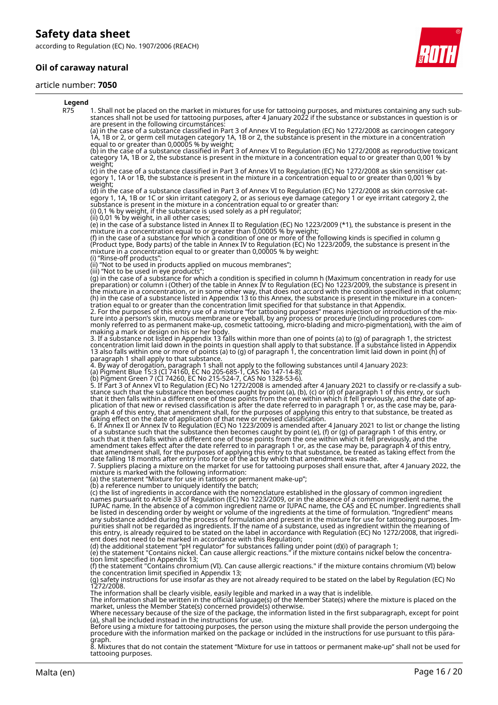according to Regulation (EC) No. 1907/2006 (REACH)

### **Oil of caraway natural**

#### article number: **7050**



#### **Legend** R75 1. Shall not be placed on the market in mixtures for use for tattooing purposes, and mixtures containing any such substances shall not be used for tattooing purposes, after 4 January 2022 if the substance or substances in question is or are present in the following circumstances: (a) in the case of a substance classified in Part 3 of Annex VI to Regulation (EC) No 1272/2008 as carcinogen category 1A, 1B or 2, or germ cell mutagen category 1A, 1B or 2, the substance is present in the mixture in a concentration equal to or greater than 0,00005 % by weight; (b) in the case of a substance classified in Part 3 of Annex VI to Regulation (EC) No 1272/2008 as reproductive toxicant category 1A, 1B or 2, the substance is present in the mixture in a concentration equal to or greater than 0,001 % by weight; (c) in the case of a substance classified in Part 3 of Annex VI to Regulation (EC) No 1272/2008 as skin sensitiser category 1, 1A or 1B, the substance is present in the mixture in a concentration equal to or greater than 0,001 % by weight; (d) in the case of a substance classified in Part 3 of Annex VI to Regulation (EC) No 1272/2008 as skin corrosive category 1, 1A, 1B or 1C or skin irritant category 2, or as serious eye damage category 1 or eye irritant category 2, the substance is present in the mixture in a concentration equal to or greater than: (i) 0,1 % by weight, if the substance is used solely as a pH regulator; (ii) 0,01 % by weight, in all other cases; (e) in the case of a substance listed in Annex II to Regulation (EC) No 1223/2009 (\*1), the substance is present in the mixture in a concentration equal to or greater than 0,00005 % by weight; (f) in the case of a substance for which a condition of one or more of the following kinds is specified in column g (Product type, Body parts) of the table in Annex IV to Regulation (EC) No 1223/2009, the substance is present in the mixture in a concentration equal to or greater than 0,00005 % by weight: (i) "Rinse-off products"; (ii) "Not to be used in products applied on mucous membranes"; (iii) "Not to be used in eye products"; (g) in the case of a substance for which a condition is specified in column h (Maximum concentration in ready for use preparation) or column i (Other) of the table in Annex IV to Regulation (EC) No 1223/2009, the substance is present in the mixture in a concentration, or in some other way, that does not accord with the condition specified in that column; (h) in the case of a substance listed in Appendix 13 to this Annex, the substance is present in the mixture in a concentration equal to or greater than the concentration limit specified for that substance in that Appendix. 2. For the purposes of this entry use of a mixture "for tattooing purposes" means injection or introduction of the mixture into a person's skin, mucous membrane or eyeball, by any process or procedure (including procedures commonly referred to as permanent make-up, cosmetic tattooing, micro-blading and micro-pigmentation), with the aim of making a mark or design on his or her body. 3. If a substance not listed in Appendix 13 falls within more than one of points (a) to (g) of paragraph 1, the strictest concentration limit laid down in the points in question shall apply to that substance. If a substance listed in Appendix 13 also falls within one or more of points (a) to (g) of paragraph 1, the concentration limit laid down in point (h) of paragraph 1 shall apply to that substance. 4. By way of derogation, paragraph 1 shall not apply to the following substances until 4 January 2023: (a) Pigment Blue 15:3 (CI 74160, EC No 205-685-1, CAS No 147-14-8); (b) Pigment Green 7 (CI 74260, EC No 215-524-7, CAS No 1328-53-6). 5. If Part 3 of Annex VI to Regulation (EC) No 1272/2008 is amended after 4 January 2021 to classify or re-classify a substance such that the substance then becomes caught by point (a), (b), (c) or (d) of paragraph 1 of this entry, or such that it then falls within a different one of those points from the one within which it fell previously, and the date of application of that new or revised classification is after the date referred to in paragraph 1 or, as the case may be, paragraph 4 of this entry, that amendment shall, for the purposes of applying this entry to that substance, be treated as taking effect on the date of application of that new or revised classification. 6. If Annex II or Annex IV to Regulation (EC) No 1223/2009 is amended after 4 January 2021 to list or change the listing of a substance such that the substance then becomes caught by point (e), (f) or (g) of paragraph 1 of this entry, or such that it then falls within a different one of those points from the one within which it fell previously, and the amendment takes effect after the date referred to in paragraph 1 or, as the case may be, paragraph 4 of this entry, that amendment shall, for the purposes of applying this entry to that substance, be treated as taking effect from the date falling 18 months after entry into force of the act by which that amendment was made. 7. Suppliers placing a mixture on the market for use for tattooing purposes shall ensure that, after 4 January 2022, the mixture is marked with the following information: (a) the statement "Mixture for use in tattoos or permanent make-up"; (b) a reference number to uniquely identify the batch; (c) the list of ingredients in accordance with the nomenclature established in the glossary of common ingredient names pursuant to Article 33 of Regulation (EC) No 1223/2009, or in the absence of a common ingredient name, the IUPAC name. In the absence of a common ingredient name or IUPAC name, the CAS and EC number. Ingredients shall be listed in descending order by weight or volume of the ingredients at the time of formulation. "Ingredient" means any substance added during the process of formulation and present in the mixture for use for tattooing purposes. Impurities shall not be regarded as ingredients. If the name of a substance, used as ingredient within the meaning of this entry, is already required to be stated on the label in accordance with Regulation (EC) No 1272/2008, that ingredient does not need to be marked in accordance with this Regulation; (d) the additional statement "pH regulator" for substances falling under point (d)(i) of paragraph 1; (e) the statement "Contains nickel. Can cause allergic reactions." if the mixture contains nickel below the concentration limit specified in Appendix 13; (f) the statement "Contains chromium (VI). Can cause allergic reactions." if the mixture contains chromium (VI) below the concentration limit specified in Appendix 13; (g) safety instructions for use insofar as they are not already required to be stated on the label by Regulation (EC) No 1272/2008. The information shall be clearly visible, easily legible and marked in a way that is indelible.<br>The information shall be written in the official language(s) of the Member State(s) where the mixture is placed on the<br>market, Where necessary because of the size of the package, the information listed in the first subparagraph, except for point (a), shall be included instead in the instructions for use. Before using a mixture for tattooing purposes, the person using the mixture shall provide the person undergoing the procedure with the information marked on the package or included in the instructions for use pursuant to this para-

graph. 8. Mixtures that do not contain the statement "Mixture for use in tattoos or permanent make-up" shall not be used for tattooing purposes.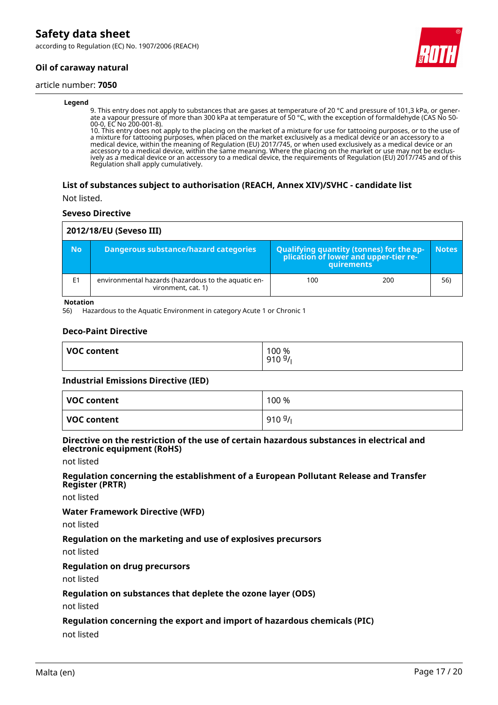according to Regulation (EC) No. 1907/2006 (REACH)

### **Oil of caraway natural**

#### article number: **7050**

#### **Legend**

9. This entry does not apply to substances that are gases at temperature of 20 °C and pressure of 101,3 kPa, or generate a vapour pressure of more than 300 kPa at temperature of 50 °C, with the exception of formaldehyde (CAS No 50- 00-0, EC No 200-001-8).

10. This entry does not apply to the placing on the market of a mixture for use for tattooing purposes, or to the use of a mixture for tattooing purposes, when placed on the market exclusively as a medical device or an accessory to a medical device, within the meaning of Regulation (EU) 2017/745, or when used exclusively as a medical device or an accessory to a medical device, within the same meaning. Where the placing on the market or use may not be exclusively as a medical device or an accessory to a medical device, the requirements of Regulation (EU) 2017/745 and of this Regulation shall apply cumulatively.

#### **List of substances subject to authorisation (REACH, Annex XIV)/SVHC - candidate list**

Not listed.

#### **Seveso Directive**

| 2012/18/EU (Seveso III) |                                                                           |                                                                                            |              |
|-------------------------|---------------------------------------------------------------------------|--------------------------------------------------------------------------------------------|--------------|
| <b>No</b>               | <b>Dangerous substance/hazard categories</b>                              | Qualifying quantity (tonnes) for the application of lower and upper-tier re-<br>quirements | <b>Notes</b> |
| E1                      | environmental hazards (hazardous to the aquatic en-<br>vironment, cat. 1) | 100<br>200                                                                                 | 56)          |

#### **Notation**

56) Hazardous to the Aquatic Environment in category Acute 1 or Chronic 1

#### **Deco-Paint Directive**

| <b>VOC content</b> | 100 %<br>9109/ |
|--------------------|----------------|
|                    |                |

#### **Industrial Emissions Directive (IED)**

| VOC content | 100 % |
|-------------|-------|
| VOC content | 9109/ |

#### **Directive on the restriction of the use of certain hazardous substances in electrical and electronic equipment (RoHS)**

not listed

#### **Regulation concerning the establishment of a European Pollutant Release and Transfer Register (PRTR)**

not listed

#### **Water Framework Directive (WFD)**

not listed

#### **Regulation on the marketing and use of explosives precursors**

not listed

#### **Regulation on drug precursors**

not listed

#### **Regulation on substances that deplete the ozone layer (ODS)**

not listed

#### **Regulation concerning the export and import of hazardous chemicals (PIC)**

not listed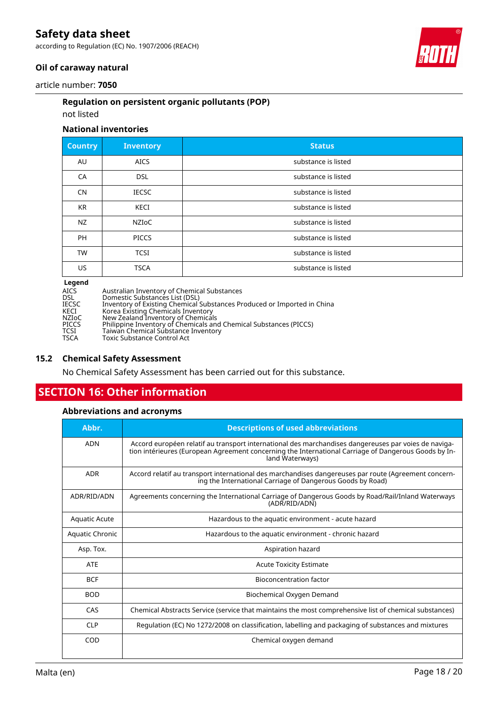according to Regulation (EC) No. 1907/2006 (REACH)



### **Oil of caraway natural**

article number: **7050**

### **Regulation on persistent organic pollutants (POP)**

### not listed

### **National inventories**

| <b>Country</b> | <b>Inventory</b> | <b>Status</b>       |
|----------------|------------------|---------------------|
| AU             | <b>AICS</b>      | substance is listed |
| CA             | <b>DSL</b>       | substance is listed |
| CN             | <b>IECSC</b>     | substance is listed |
| <b>KR</b>      | <b>KECI</b>      | substance is listed |
| <b>NZ</b>      | <b>NZIOC</b>     | substance is listed |
| PH             | <b>PICCS</b>     | substance is listed |
| <b>TW</b>      | <b>TCSI</b>      | substance is listed |
| US             | <b>TSCA</b>      | substance is listed |
| ,,,,,,,        |                  |                     |

| <b>Legena</b> |                                                                         |
|---------------|-------------------------------------------------------------------------|
| AICS          | Australian Inventory of Chemical Substances                             |
| DSL           | Domestic Substances List (DSL)                                          |
| IECSC         | Inventory of Existing Chemical Substances Produced or Imported in China |
| KECI          | Korea Existing Chemicals Inventory                                      |
| NZIoC         | New Zealand Inventory of Chemicals                                      |
| PICCS         | Philippine Inventory of Chemicals and Chemical Substances (PICCS)       |
| TCSI          | Taiwan Chemical Substance Inventory                                     |
| TSCA          | Toxic Substance Control Act                                             |
|               |                                                                         |

### **15.2 Chemical Safety Assessment**

No Chemical Safety Assessment has been carried out for this substance.

# **SECTION 16: Other information**

### **Abbreviations and acronyms**

| Abbr.                | <b>Descriptions of used abbreviations</b>                                                                                                                                                                                       |
|----------------------|---------------------------------------------------------------------------------------------------------------------------------------------------------------------------------------------------------------------------------|
| <b>ADN</b>           | Accord européen relatif au transport international des marchandises dangereuses par voies de naviga-<br>tion intérieures (European Agreement concerning the International Carriage of Dangerous Goods by In-<br>land Waterways) |
| <b>ADR</b>           | Accord relatif au transport international des marchandises dangereuses par route (Agreement concern-<br>ing the International Carriage of Dangerous Goods by Road)                                                              |
| ADR/RID/ADN          | Agreements concerning the International Carriage of Dangerous Goods by Road/Rail/Inland Waterways<br>(ADR/RID/ADN)                                                                                                              |
| <b>Aquatic Acute</b> | Hazardous to the aquatic environment - acute hazard                                                                                                                                                                             |
| Aquatic Chronic      | Hazardous to the aquatic environment - chronic hazard                                                                                                                                                                           |
| Asp. Tox.            | Aspiration hazard                                                                                                                                                                                                               |
| <b>ATE</b>           | <b>Acute Toxicity Estimate</b>                                                                                                                                                                                                  |
| <b>BCF</b>           | Bioconcentration factor                                                                                                                                                                                                         |
| <b>BOD</b>           | Biochemical Oxygen Demand                                                                                                                                                                                                       |
| CAS                  | Chemical Abstracts Service (service that maintains the most comprehensive list of chemical substances)                                                                                                                          |
| <b>CLP</b>           | Regulation (EC) No 1272/2008 on classification, labelling and packaging of substances and mixtures                                                                                                                              |
| COD                  | Chemical oxygen demand                                                                                                                                                                                                          |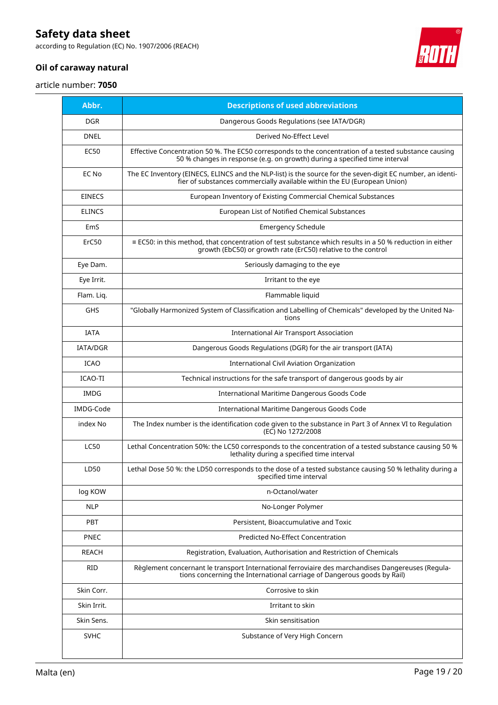according to Regulation (EC) No. 1907/2006 (REACH)



### **Oil of caraway natural**

article number: **7050**

| Abbr.         | <b>Descriptions of used abbreviations</b>                                                                                                                                              |
|---------------|----------------------------------------------------------------------------------------------------------------------------------------------------------------------------------------|
| <b>DGR</b>    | Dangerous Goods Regulations (see IATA/DGR)                                                                                                                                             |
| <b>DNEL</b>   | Derived No-Effect Level                                                                                                                                                                |
| <b>EC50</b>   | Effective Concentration 50 %. The EC50 corresponds to the concentration of a tested substance causing<br>50 % changes in response (e.g. on growth) during a specified time interval    |
| EC No         | The EC Inventory (EINECS, ELINCS and the NLP-list) is the source for the seven-digit EC number, an identi-<br>fier of substances commercially available within the EU (European Union) |
| <b>EINECS</b> | European Inventory of Existing Commercial Chemical Substances                                                                                                                          |
| <b>ELINCS</b> | European List of Notified Chemical Substances                                                                                                                                          |
| EmS           | <b>Emergency Schedule</b>                                                                                                                                                              |
| ErC50         | ≡ EC50: in this method, that concentration of test substance which results in a 50 % reduction in either<br>growth (EbC50) or growth rate (ErC50) relative to the control              |
| Eye Dam.      | Seriously damaging to the eye                                                                                                                                                          |
| Eye Irrit.    | Irritant to the eye                                                                                                                                                                    |
| Flam. Liq.    | Flammable liquid                                                                                                                                                                       |
| <b>GHS</b>    | "Globally Harmonized System of Classification and Labelling of Chemicals" developed by the United Na-<br>tions                                                                         |
| <b>IATA</b>   | International Air Transport Association                                                                                                                                                |
| IATA/DGR      | Dangerous Goods Regulations (DGR) for the air transport (IATA)                                                                                                                         |
| <b>ICAO</b>   | International Civil Aviation Organization                                                                                                                                              |
| ICAO-TI       | Technical instructions for the safe transport of dangerous goods by air                                                                                                                |
| <b>IMDG</b>   | International Maritime Dangerous Goods Code                                                                                                                                            |
| IMDG-Code     | International Maritime Dangerous Goods Code                                                                                                                                            |
| index No      | The Index number is the identification code given to the substance in Part 3 of Annex VI to Regulation<br>(EC) No 1272/2008                                                            |
| <b>LC50</b>   | Lethal Concentration 50%: the LC50 corresponds to the concentration of a tested substance causing 50 %<br>lethality during a specified time interval                                   |
| LD50          | Lethal Dose 50 %: the LD50 corresponds to the dose of a tested substance causing 50 % lethality during a<br>specified time interval                                                    |
| log KOW       | n-Octanol/water                                                                                                                                                                        |
| <b>NLP</b>    | No-Longer Polymer                                                                                                                                                                      |
| PBT           | Persistent, Bioaccumulative and Toxic                                                                                                                                                  |
| <b>PNEC</b>   | <b>Predicted No-Effect Concentration</b>                                                                                                                                               |
| REACH         | Registration, Evaluation, Authorisation and Restriction of Chemicals                                                                                                                   |
| <b>RID</b>    | Règlement concernant le transport International ferroviaire des marchandises Dangereuses (Regula-<br>tions concerning the International carriage of Dangerous goods by Rail)           |
| Skin Corr.    | Corrosive to skin                                                                                                                                                                      |
| Skin Irrit.   | Irritant to skin                                                                                                                                                                       |
| Skin Sens.    | Skin sensitisation                                                                                                                                                                     |
| <b>SVHC</b>   | Substance of Very High Concern                                                                                                                                                         |